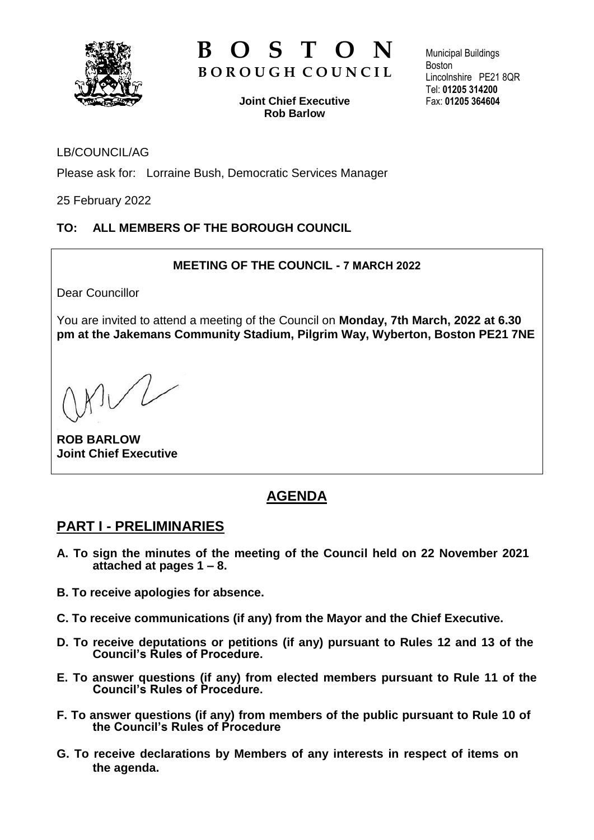

# **B** O S T **B O R O U G H C O U N C I L**

**Joint Chief Executive Rob Barlow**

Municipal Buildings Boston Lincolnshire PE21 8QR Tel: **01205 314200** Fax: **01205 364604**

### LB/COUNCIL/AG

Please ask for: Lorraine Bush, Democratic Services Manager

25 February 2022

### **TO: ALL MEMBERS OF THE BOROUGH COUNCIL**

### **MEETING OF THE COUNCIL - 7 MARCH 2022**

Dear Councillor

You are invited to attend a meeting of the Council on **Monday, 7th March, 2022 at 6.30 pm at the Jakemans Community Stadium, Pilgrim Way, Wyberton, Boston PE21 7NE**

**ROB BARLOW Joint Chief Executive**

# **AGENDA**

### **PART I - PRELIMINARIES**

- **A. To sign the minutes of the meeting of the Council held on 22 November 2021 attached at pages 1 – 8.**
- **B. To receive apologies for absence.**
- **C. To receive communications (if any) from the Mayor and the Chief Executive.**
- **D. To receive deputations or petitions (if any) pursuant to Rules 12 and 13 of the Council's Rules of Procedure.**
- **E. To answer questions (if any) from elected members pursuant to Rule 11 of the Council's Rules of Procedure.**
- **F. To answer questions (if any) from members of the public pursuant to Rule 10 of the Council's Rules of Procedure**
- **G. To receive declarations by Members of any interests in respect of items on the agenda.**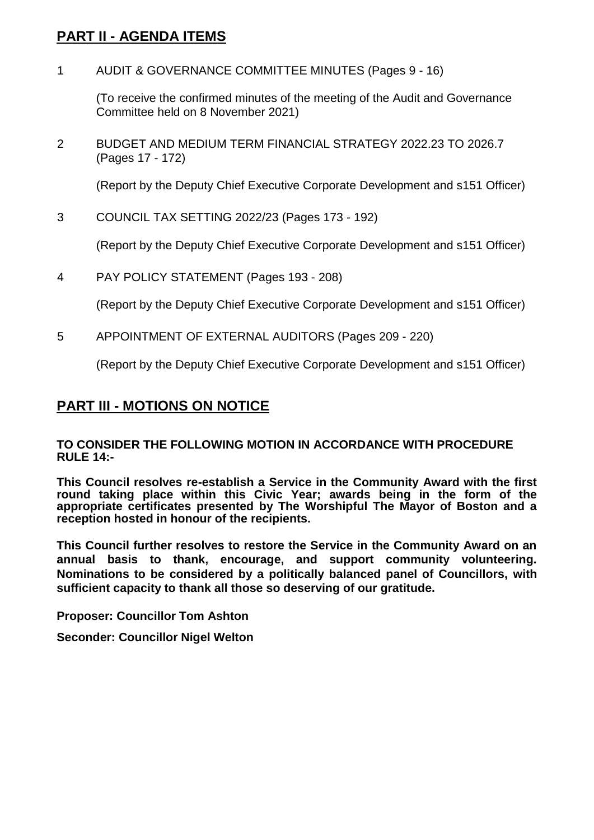## **PART II - AGENDA ITEMS**

1 AUDIT & GOVERNANCE COMMITTEE MINUTES (Pages 9 - 16)

(To receive the confirmed minutes of the meeting of the Audit and Governance Committee held on 8 November 2021)

2 BUDGET AND MEDIUM TERM FINANCIAL STRATEGY 2022.23 TO 2026.7 (Pages 17 - 172)

(Report by the Deputy Chief Executive Corporate Development and s151 Officer)

3 COUNCIL TAX SETTING 2022/23 (Pages 173 - 192)

(Report by the Deputy Chief Executive Corporate Development and s151 Officer)

4 PAY POLICY STATEMENT (Pages 193 - 208)

(Report by the Deputy Chief Executive Corporate Development and s151 Officer)

5 APPOINTMENT OF EXTERNAL AUDITORS (Pages 209 - 220)

(Report by the Deputy Chief Executive Corporate Development and s151 Officer)

## **PART III - MOTIONS ON NOTICE**

#### **TO CONSIDER THE FOLLOWING MOTION IN ACCORDANCE WITH PROCEDURE RULE 14:-**

**This Council resolves re-establish a Service in the Community Award with the first round taking place within this Civic Year; awards being in the form of the appropriate certificates presented by The Worshipful The Mayor of Boston and a reception hosted in honour of the recipients.**

**This Council further resolves to restore the Service in the Community Award on an annual basis to thank, encourage, and support community volunteering. Nominations to be considered by a politically balanced panel of Councillors, with sufficient capacity to thank all those so deserving of our gratitude.**

**Proposer: Councillor Tom Ashton**

**Seconder: Councillor Nigel Welton**